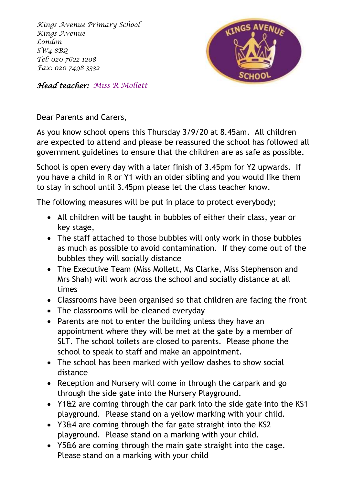*Kings Avenue Primary School Kings Avenue London SW4 8BQ Tel: 020 7622 1208 Fax: 020 7498 3332*



*Head teacher: Miss R Mollett*

Dear Parents and Carers,

As you know school opens this Thursday 3/9/20 at 8.45am. All children are expected to attend and please be reassured the school has followed all government guidelines to ensure that the children are as safe as possible.

School is open every day with a later finish of 3.45pm for Y2 upwards. If you have a child in R or Y1 with an older sibling and you would like them to stay in school until 3.45pm please let the class teacher know.

The following measures will be put in place to protect everybody;

- All children will be taught in bubbles of either their class, year or key stage,
- The staff attached to those bubbles will only work in those bubbles as much as possible to avoid contamination. If they come out of the bubbles they will socially distance
- The Executive Team (Miss Mollett, Ms Clarke, Miss Stephenson and Mrs Shah) will work across the school and socially distance at all times
- Classrooms have been organised so that children are facing the front
- The classrooms will be cleaned everyday
- Parents are not to enter the building unless they have an appointment where they will be met at the gate by a member of SLT. The school toilets are closed to parents. Please phone the school to speak to staff and make an appointment.
- The school has been marked with yellow dashes to show social distance
- Reception and Nursery will come in through the carpark and go through the side gate into the Nursery Playground.
- Y1&2 are coming through the car park into the side gate into the KS1 playground. Please stand on a yellow marking with your child.
- Y3&4 are coming through the far gate straight into the KS2 playground. Please stand on a marking with your child.
- Y5&6 are coming through the main gate straight into the cage. Please stand on a marking with your child